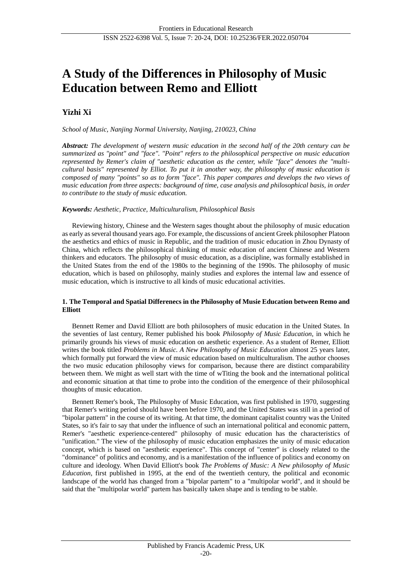# **A Study of the Differences in Philosophy of Music Education between Remo and Elliott**

## **Yizhi Xi**

*School of Music, Nanjing Normal University, Nanjing, 210023, China*

*Abstract: The development of western music education in the second half of the 20th century can be summarized as "point" and "face". "Point" refers to the philosophical perspective on music education represented by Remer's claim of "aesthetic education as the center, while "face" denotes the "multicultural basis" represented by Elliot. To put it in another way, the philosophy of music education is composed of many "points" so as to form "face". This paper compares and develops the two views of music education from three aspects: background of time, case analysis and philosophical basis, in order to contribute to the study of music education.*

## *Keywords: Aesthetic, Practice, Multiculturalism, Philosophical Basis*

Reviewing history, Chinese and the Western sages thought about the philosophy of music education as early as several thousand years ago. For example, the discussions of ancient Greek philosopher Platoon the aesthetics and ethics of music in Republic, and the tradition of music education in Zhou Dynasty of China, which reflects the philosophical thinking of music education of ancient Chinese and Western thinkers and educators. The philosophy of music education, as a discipline, was formally established in the United States from the end of the 1980s to the beginning of the 1990s. The philosophy of music education, which is based on philosophy, mainly studies and explores the internal law and essence of music education, which is instructive to all kinds of music educational activities.

## **1. The Temporal and Spatial Differenecs in the Philosophy of Musie Education between Remo and Elliott**

Bennett Remer and David Elliott are both philosophers of music education in the United States. In the seventies of last century, Remer published his book *Philosophy of Music Education*, in which he primarily grounds his views of music education on aesthetic experience. As a student of Remer, Elliott writes the book titled *Problems in Music. A New Philosophy of Music Education* almost 25 years later, which formally put forward the view of music education based on multiculturalism. The author chooses the two music education philosophy views for comparison, because there are distinct comparability between them. We might as well start with the time of wTiting the book and the international political and economic situation at that time to probe into the condition of the emergence of their philosophical thoughts of music education.

Bennett Remer's book, The Philosophy of Music Education, was first published in 1970, suggesting that Remer's writing period should have been before 1970, and the United States was still in a period of "bipolar pattern" in the course of its writing. At that time, the dominant capitalist country was the United States, so it's fair to say that under the influence of such an international political and economic pattern, Remer's "aesthetic experience-centered" philosophy of music education has the characteristics of "unification." The view of the philosophy of music education emphasizes the unity of music education concept, which is based on "aesthetic experience". This concept of "center" is closely related to the "dominance" of politics and economy, and is a manifestation of the influence of politics and economy on culture and ideology. When David Elliott's book *The Problems of Music: A New philosophy of Music Education*, first published in 1995, at the end of the twentieth century, the political and economic landscape of the world has changed from a "bipolar partem" to a "multipolar world", and it should be said that the "multipolar world" partem has basically taken shape and is tending to be stable.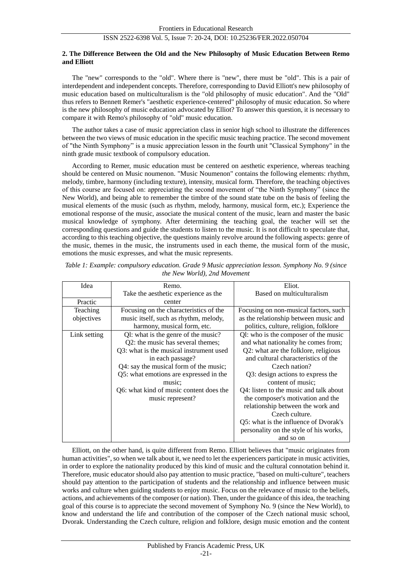### **2. The Difference Between the Old and the New Philosophy of Music Education Between Remo and Elliott**

The "new" corresponds to the "old". Where there is "new", there must be "old". This is a pair of interdependent and independent concepts. Therefore, corresponding to David Elliott's new philosophy of music education based on multiculturalism is the "old philosophy of music education". And the "Old" thus refers to Bennett Remer's "aesthetic experience-centered" philosophy of music education. So where is the new philosophy of music education advocated by Elliot? To answer this question, it is necessary to compare it with Remo's philosophy of "old" music education.

The author takes a case of music appreciation class in senior high school to illustrate the differences between the two views of music education in the specific music teaching practice. The second movement of "the Ninth Symphony" is a music appreciation lesson in the fourth unit "Classical Symphony" in the ninth grade music textbook of compulsory education.

According to Remer, music education must be centered on aesthetic experience, whereas teaching should be centered on Music noumenon. "Music Noumenon" contains the following elements: rhythm, melody, timbre, harmony (including texture), intensity, musical form. Therefore, the teaching objectives of this course are focused on: appreciating the second movement of "the Ninth Symphony" (since the New World), and being able to remember the timbre of the sound state tube on the basis of feeling the musical elements of the music (such as rhythm, melody, harmony, musical form, etc.); Experience the emotional response of the music, associate the musical content of the music, learn and master the basic musical knowledge of symphony. After determining the teaching goal, the teacher will set the corresponding questions and guide the students to listen to the music. It is not difficult to speculate that, according to this teaching objective, the questions mainly revolve around the following aspects: genre of the music, themes in the music, the instruments used in each theme, the musical form of the music, emotions the music expresses, and what the music represents.

| Idea         | Remo.                                   | Eliot.                                 |
|--------------|-----------------------------------------|----------------------------------------|
|              | Take the aesthetic experience as the    | Based on multiculturalism              |
| Practic      | center                                  |                                        |
| Teaching     | Focusing on the characteristics of the  | Focusing on non-musical factors, such  |
| objectives   | music itself, such as rhythm, melody,   | as the relationship between music and  |
|              | harmony, musical form, etc.             | politics, culture, religion, folklore  |
| Link setting | QI: what is the genre of the music?     | QI: who is the composer of the music   |
|              | Q2: the music has several themes;       | and what nationality he comes from;    |
|              | Q3: what is the musical instrument used | Q2: what are the folklore, religious   |
|              | in each passage?                        | and cultural characteristics of the    |
|              | Q4: say the musical form of the music;  | Czech nation?                          |
|              | Q5: what emotions are expressed in the  | Q3: design actions to express the      |
|              | music:                                  | content of music;                      |
|              | Q6: what kind of music content does the | Q4: listen to the music and talk about |
|              | music represent?                        | the composer's motivation and the      |
|              |                                         | relationship between the work and      |
|              |                                         | Czech culture.                         |
|              |                                         | Q5: what is the influence of Dvorak's  |
|              |                                         | personality on the style of his works, |
|              |                                         | and so on                              |

*Table 1: Example: compulsory education. Grade 9 Music appreciation lesson. Symphony No. 9 (since the New World), 2nd Movement*

Elliott, on the other hand, is quite different from Remo. Elliott believes that "music originates from human activities", so when we talk about it, we need to let the experiencers participate in music activities, in order to explore the nationality produced by this kind of music and the cultural connotation behind it. Therefore, music educator should also pay attention to music practice, "based on multi-culture", teachers should pay attention to the participation of students and the relationship and influence between music works and culture when guiding students to enjoy music. Focus on the relevance of music to the beliefs, actions, and achievements of the composer (or nation). Then, under the guidance of this idea, the teaching goal of this course is to appreciate the second movement of Symphony No. 9 (since the New World), to know and understand the life and contribution of the composer of the Czech national music school, Dvorak. Understanding the Czech culture, religion and folklore, design music emotion and the content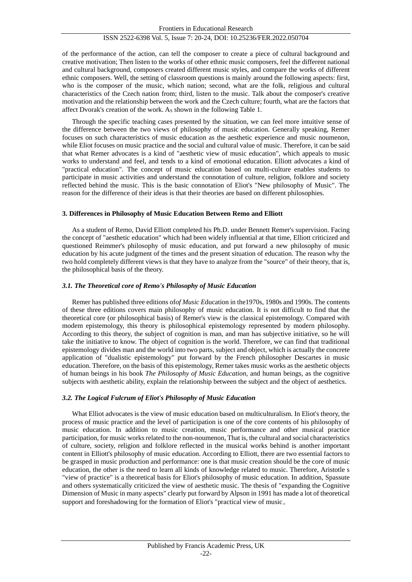of the performance of the action, can tell the composer to create a piece of cultural background and creative motivation; Then listen to the works of other ethnic music composers, feel the different national and cultural background, composers created different music styles, and compare the works of different ethnic composers. Well, the setting of classroom questions is mainly around the following aspects: first, who is the composer of the music, which nation; second, what are the folk, religious and cultural characteristics of the Czech nation from; third, listen to the music. Talk about the composer's creative motivation and the relationship between the work and the Czech culture; fourth, what are the factors that affect Dvorak's creation of the work. As shown in the following Table 1.

Through the specific teaching cases presented by the situation, we can feel more intuitive sense of the difference between the two views of philosophy of music education. Generally speaking, Remer focuses on such characteristics of music education as the aesthetic experience and music noumenon, while Eliot focuses on music practice and the social and cultural value of music. Therefore, it can be said that what Remer advocates is a kind of "aesthetic view of music education", which appeals to music works to understand and feel, and tends to a kind of emotional education. Elliott advocates a kind of "practical education". The concept of music education based on multi-culture enables students to participate in music activities and understand the connotation of culture, religion, folklore and society reflected behind the music. This is the basic connotation of Eliot's "New philosophy of Music". The reason for the difference of their ideas is that their theories are based on different philosophies.

#### **3. Differences in Philosophy of Music Education Between Remo and Elliott**

As a student of Remo, David Elliott completed his Ph.D. under Bennett Remer's supervision. Facing the concept of "aesthetic education" which had been widely influential at that time, Elliott criticized and questioned Reimmer's philosophy of music education, and put forward a new philosophy of music education by his acute judgment of the times and the present situation of education. The reason why the two hold completely different views is that they have to analyze from the "source" of their theory, that is, the philosophical basis of the theory.

## *3.1. The Theoretical core of Remo's Philosophy of Music Education*

Remer has published three editions of*of Music E*ducation in the1970s, 1980s and 1990s. The contents of these three editions covers main philosophy of music education. It is not difficult to find that the theoretical core (or philosophical basis) of Remer's view is the classical epistemology. Compared with modem epistemology, this theory is philosophical epistemology represented by modern philosophy. According to this theory, the subject of cognition is man, and man has subjective initiative, so he will take the initiative to know. The object of cognition is the world. Therefore, we can find that traditional epistemology divides man and the world into two parts, subject and object, which is actually the concrete application of "dualistic epistemology" put forward by the French philosopher Descartes in music education. Therefore, on the basis of this epistemology, Remer takes music works as the aesthetic objects of human beings in his book *The Philosophy of Music Education,* and human beings, as the cognitive subjects with aesthetic ability, explain the relationship between the subject and the object of aesthetics.

## *3.2. The Logical Fulcrum of Eliot's Philosophy of Music Education*

What Elliot advocates is the view of music education based on multiculturalism. In Eliot's theory, the process of music practice and the level of participation is one of the core contents of his philosophy of music education. In addition to music creation, music performance and other musical practice participation, for music works related to the non-noumenon, That is, the cultural and social characteristics of culture, society, religion and folklore reflected in the musical works behind is another important content in Elliott's philosophy of music education. According to Elliott, there are two essential factors to be grasped in music production and performance: one is that music creation should be the core of music education, the other is the need to learn all kinds of knowledge related to music. Therefore, Aristotle s "view of practice" is a theoretical basis for Eliot's philosophy of music education. In addition, Spassute and others systematically criticized the view of aesthetic music. The thesis of "expanding the Cognitive Dimension of Music in many aspects" clearly put forward by Alpson in 1991 has made a lot of theoretical support and foreshadowing for the formation of Eliot's "practical view of music。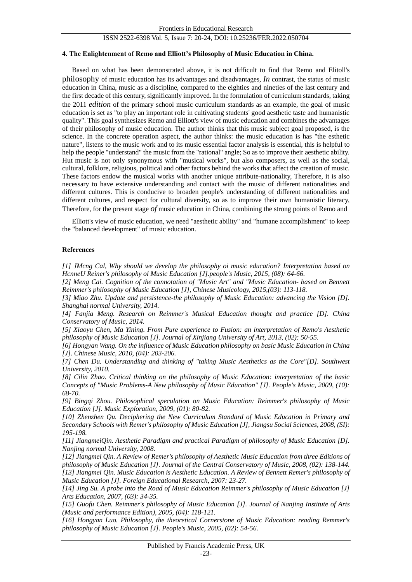## **4. The Enlightenment of Remo and Elliott's Philosophy of Music Education in China.**

Based on what has been demonstrated above, it is not difficult to find that Remo and Elitoll's philosophy of music education has its advantages and disadvantages, *In* contrast, the status of music education in China, music as a discipline, compared to the eighties and nineties of the last century and the first decade of this century, significantly improved. In the formulation of curriculum standards, taking the 2011 *edition* of the primary school music curriculum standards as an example, the goal of music education is set as "to play an important role in cultivating students' good aesthetic taste and humanistic quality". This goal synthesizes Remo and Elliott's view of music education and combines the advantages of their philosophy of music education. The author thinks that this music subject goal proposed, is the science. In the concrete operation aspect, the author thinks: the music education is has "the esthetic nature", listens to the music work and to its music essential factor analysis is essential, this is helpful to help the people "understand" the music from the "rational" angle; So as to improve their aesthetic ability. Hut music is not only synonymous with "musical works", but also composers, as well as the social, cultural, folklore, religious, political and other factors behind the works that affect the creation of music. These factors endow the musical works with another unique attribute-nationality, Therefore, it is also necessary to have extensive understanding and contact with the music of different nationalities and different cultures. This is conducive to broaden people's understanding of different nationalities and different cultures, and respect for cultural diversity, so as to improve their own humanistic literacy, Therefore, for the present stage *of* music education in China, combining the strong points of Remo and

Elliott's view of music education, we need "aesthetic ability" and "humane accomplishment" to keep the "balanced development" of music education.

#### **References**

*[1] JMcng Cal, Why should we develop the philosophy oi music education? Interpretation based on HcnneU Reiner's philosophy ol Music Education [J].people's Music, 2015, (08): 64-66.*

*[2] Meng Cai. Cognition of the connotation of "Music Art" and "Music Education- based on Bennett Reimmer's philosophy of Music Education [J], Chinese Musicology, 2015,(03): 113-118.*

*[3] Miao Zhu. Update and persistence-the philosophy of Music Education: advancing the Vision [D]. Shanghai normal University, 2014.*

*[4] Fanjia Meng. Research on Reimmer's Musical Education thought and practice [D]. China Conservatory of Music, 2014.*

*[5] Xiaoyu Chen, Ma Yining. From Pure experience to Fusion: an interpretation of Remo's Aesthetic philosophy of Music Education [J]. Journal of Xinjiang University of Art, 2013, (02): 50-55.*

*[6] Hongyan Wang. On the influence of Music Education philosophy on basic Music Education in China [J]. Chinese Music, 2010, (04): 203-206.*

*[7] Chen Du. Understanding and thinking of "taking Music Aesthetics as the Core"[D]. Southwest University, 2010.*

*[8] Cilin Zhao. Critical thinking on the philosophy of Music Education: interpretation of the basic Concepts of "Music Problems-A New philosophy of Music Education" [J]. People's Music, 2009, (10): 68-70.*

*[9] Bingqi Zhou. Philosophical speculation on Music Education: Reimmer's philosophy of Music Education [J]. Music Exploration, 2009, (01): 80-82.*

*[10] Zhenzhen Qu. Deciphering the New Curriculum Standard of Music Education in Primary and Secondary Schools with Remer's philosophy of Music Education [J], Jiangsu Social Sciences, 2008, (SI): 195-198.*

*[11] JiangmeiQin. Aesthetic Paradigm and practical Paradigm of philosophy of Music Education [D]. Nanjing normal University, 2008.*

*[12] Jiangmei Qin. A Review of Remer's philosophy of Aesthetic Music Education from three Editions of philosophy of Music Education [J]. Journal of the Central Conservatory of Music, 2008, (02): 138-144. [13] Jiangmei Qin. Music Education is Aesthetic Education. A Review of Bennett Remer's philosophy of Music Education [J]. Foreign Educational Research, 2007: 23-27.*

*[14] Jing Su. A probe into the Road of Music Education Reimmer's philosophy of Music Education [J] Arts Education, 2007, (03): 34-35.*

*[15] Guofu Chen. Reimmer's philosophy of Music Education [J]. Journal of Nanjing Institute of Arts (Music and performance Edition), 2005, (04): 118-121.*

*[16] Hongyan Luo. Philosophy, the theoretical Cornerstone of Music Education: reading Remmer's philosophy of Music Education [J]. People's Music, 2005, (02): 54-56.*